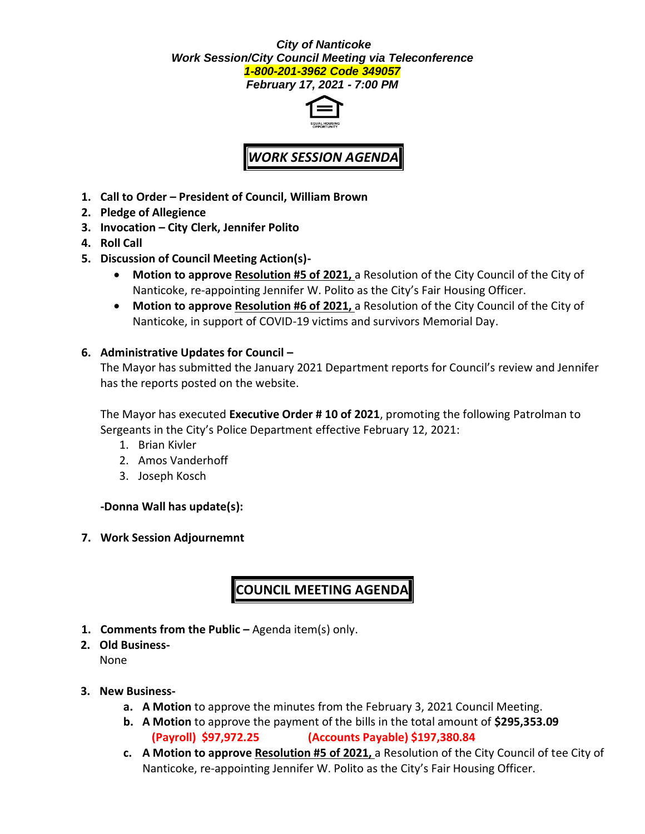#### *City of Nanticoke Work Session/City Council Meeting via Teleconference 1-800-201-3962 Code 349057*

*February 17, 2021 - 7:00 PM*



# *WORK SESSION AGENDA*

- **1. Call to Order – President of Council, William Brown**
- **2. Pledge of Allegience**
- **3. Invocation – City Clerk, Jennifer Polito**
- **4. Roll Call**
- **5. Discussion of Council Meeting Action(s)-**
	- **Motion to approve Resolution #5 of 2021,** a Resolution of the City Council of the City of Nanticoke, re-appointing Jennifer W. Polito as the City's Fair Housing Officer.
	- **Motion to approve Resolution #6 of 2021,** a Resolution of the City Council of the City of Nanticoke, in support of COVID-19 victims and survivors Memorial Day.

#### **6. Administrative Updates for Council –**

The Mayor has submitted the January 2021 Department reports for Council's review and Jennifer has the reports posted on the website.

The Mayor has executed **Executive Order # 10 of 2021**, promoting the following Patrolman to Sergeants in the City's Police Department effective February 12, 2021:

- 1. Brian Kivler
- 2. Amos Vanderhoff
- 3. Joseph Kosch

#### **-Donna Wall has update(s):**

**7. Work Session Adjournemnt**

## **COUNCIL MEETING AGENDA**

- **1. Comments from the Public –** Agenda item(s) only.
- **2. Old Business-**

None

- **3. New Business**
	- **a. A Motion** to approve the minutes from the February 3, 2021 Council Meeting.
	- **b. A Motion** to approve the payment of the bills in the total amount of **\$295,353.09 (Payroll) \$97,972.25 (Accounts Payable) \$197,380.84**
	- **c. A Motion to approve Resolution #5 of 2021,** a Resolution of the City Council of tee City of Nanticoke, re-appointing Jennifer W. Polito as the City's Fair Housing Officer.